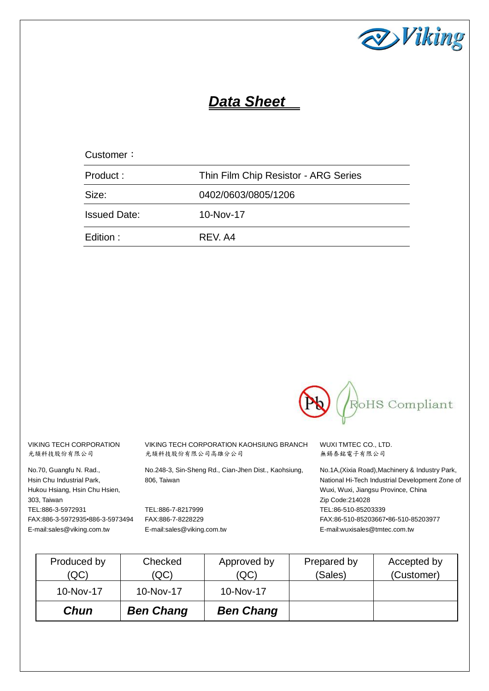

# *Data Sheet*

| Customer:           |                                      |
|---------------------|--------------------------------------|
| Product:            | Thin Film Chip Resistor - ARG Series |
| Size:               | 0402/0603/0805/1206                  |
| <b>Issued Date:</b> | 10-Nov-17                            |
| Edition :           | REV. A4                              |



VIKING TECH CORPORATION 光頡科技股份有限公司

No.70, Guangfu N. Rad., Hsin Chu Industrial Park, Hukou Hsiang, Hsin Chu Hsien, 303, Taiwan TEL:886-3-5972931 FAX:886-3-5972935•886-3-5973494 E-mail:sales@viking.com.tw

VIKING TECH CORPORATION KAOHSIUNG BRANCH 光頡科技股份有限公司高雄分公司

No.248-3, Sin-Sheng Rd., Cian-Jhen Dist., Kaohsiung, 806, Taiwan

TEL:886-7-8217999 FAX:886-7-8228229 E-mail:sales@viking.com.tw WUXI TMTEC CO., LTD. 無錫泰銘電子有限公司

No.1A,(Xixia Road),Machinery & Industry Park, National Hi-Tech Industrial Development Zone of Wuxi, Wuxi, Jiangsu Province, China Zip Code:214028 TEL:86-510-85203339 FAX:86-510-85203667•86-510-85203977 E-mail:wuxisales@tmtec.com.tw

| Chun                | <b>Ben Chang</b> | <b>Ben Chang</b>    |                        |                           |
|---------------------|------------------|---------------------|------------------------|---------------------------|
| 10-Nov-17           | 10-Nov-17        | 10-Nov-17           |                        |                           |
| Produced by<br>(QC) | Checked<br>(QC)  | Approved by<br>(QC) | Prepared by<br>(Sales) | Accepted by<br>(Customer) |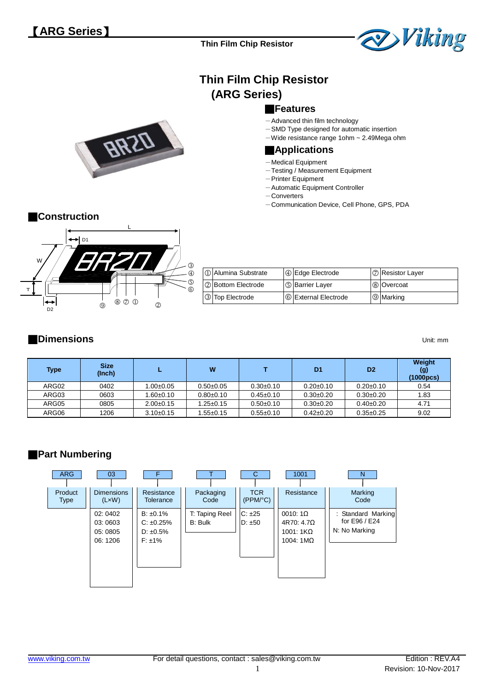

# **Thin Film Chip Resistor (ARG Series)**

## ■**Features**

- Advanced thin film technology
- -SMD Type designed for automatic insertion
- $-Wide$  resistance range 1ohm  $\sim$  2.49Mega ohm

#### ■**Applications**

- -Medical Equipment
- -Testing / Measurement Equipment
- -Printer Equipment
- -Automatic Equipment Controller
- -Converters
- -Communication Device, Cell Phone, GPS, PDA



**BKS** 

| <b>10 Alumina Substrate</b> | 4 Edge Electrode         | I ⑦ Resistor Layer |
|-----------------------------|--------------------------|--------------------|
| <b>2</b> Bottom Electrode   | I <b>5</b> Barrier Layer | 8 Overcoat         |
| 3 Top Electrode             | 6 External Electrode     | <b>9</b> Marking   |

#### ■**Dimensions** Unit: mm

| Type  | <b>Size</b><br>(Inch) |                 | W               |                 | D <sub>1</sub>  | D <sub>2</sub>  | Weight<br>(g)<br>(1000pcs) |
|-------|-----------------------|-----------------|-----------------|-----------------|-----------------|-----------------|----------------------------|
| ARG02 | 0402                  | $1.00 \pm 0.05$ | $0.50 + 0.05$   | $0.30+0.10$     | $0.20 \pm 0.10$ | $0.20 \pm 0.10$ | 0.54                       |
| ARG03 | 0603                  | $1.60 \pm 0.10$ | $0.80 + 0.10$   | $0.45 \pm 0.10$ | $0.30+0.20$     | $0.30+0.20$     | 1.83                       |
| ARG05 | 0805                  | $2.00+0.15$     | $1.25{\pm}0.15$ | $0.50+0.10$     | $0.30+0.20$     | $0.40 \pm 0.20$ | 4.71                       |
| ARG06 | 1206                  | $3.10 \pm 0.15$ | $.55 \pm 0.15$  | $0.55 \pm 0.10$ | $0.42 \pm 0.20$ | $0.35 \pm 0.25$ | 9.02                       |

## ■**Part Numbering**

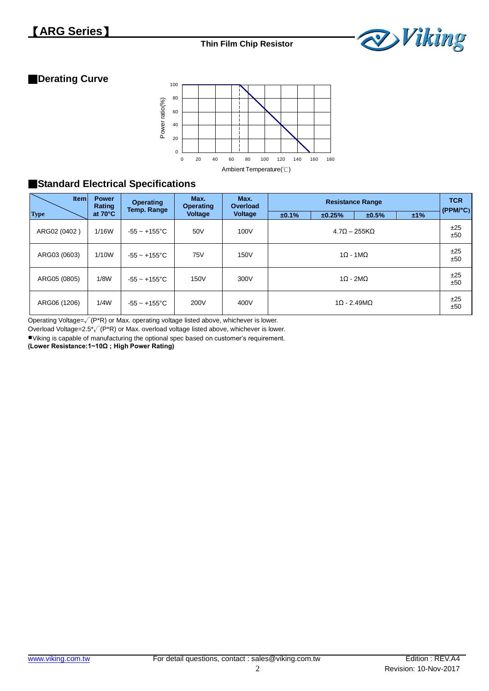

## ■**Derating Curve**



## ■**Standard Electrical Specifications**

| <b>Item</b>  | <b>Power</b><br>Rating | <b>Operating</b><br>Temp. Range | Max.<br><b>Operating</b> | Max.<br>Overload | <b>Resistance Range</b> |        |                          | <b>TCR</b><br>(PPM <sup>o</sup> C) |            |
|--------------|------------------------|---------------------------------|--------------------------|------------------|-------------------------|--------|--------------------------|------------------------------------|------------|
| <b>Type</b>  | at $70^{\circ}$ C      |                                 | <b>Voltage</b>           | <b>Voltage</b>   | ±0.1%                   | ±0.25% | ±0.5%                    | ±1%                                |            |
| ARG02 (0402) | 1/16W                  | $-55 \sim +155^{\circ}$ C       | 50V                      | 100V             |                         |        | $4.7\Omega - 255K\Omega$ |                                    | ±25<br>±50 |
| ARG03 (0603) | 1/10W                  | $-55 \sim +155^{\circ}$ C       | 75V                      | 150V             | $1\Omega - 1M\Omega$    |        |                          | ±25<br>±50                         |            |
| ARG05 (0805) | 1/8W                   | $-55 - +155^{\circ}$ C          | 150V                     | 300V             | $1\Omega - 2M\Omega$    |        |                          | ±25<br>±50                         |            |
| ARG06 (1206) | 1/4W                   | $-55 \sim +155^{\circ}$ C       | 200V                     | 400V             |                         |        | $1\Omega - 2.49M\Omega$  |                                    | ±25<br>±50 |

Operating Voltage=√(P\*R) or Max. operating voltage listed above, whichever is lower.

Overload Voltage=2.5\* $\sqrt{(P^*R)}$  or Max. overload voltage listed above, whichever is lower.

Viking is capable of manufacturing the optional spec based on customer's requirement.

**(Lower Resistance:1~10Ω ; High Power Rating)**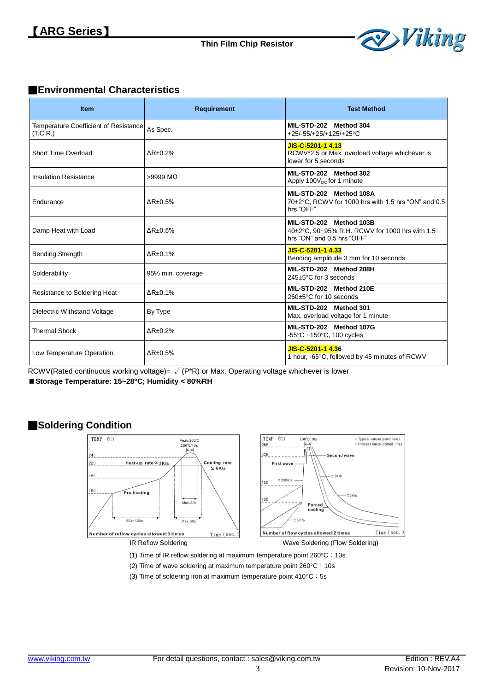

#### ■**Environmental Characteristics**

| <b>Item</b>                                       | <b>Requirement</b>          | <b>Test Method</b>                                                                                      |
|---------------------------------------------------|-----------------------------|---------------------------------------------------------------------------------------------------------|
| Temperature Coefficient of Resistance<br>(T.C.R.) | As Spec.                    | MIL-STD-202 Method 304<br>+25/-55/+25/+125/+25°C                                                        |
| Short Time Overload                               | $\Delta$ R $\pm$ 0.2%       | JIS-C-5201-1 4.13<br>RCWV*2.5 or Max. overload voltage whichever is<br>lower for 5 seconds              |
| <b>Insulation Resistance</b>                      | $>9999$ MQ                  | MIL-STD-202 Method 302<br>Apply $100V_{DC}$ for 1 minute                                                |
| Endurance                                         | $\Delta$ R $\pm$ 0.5%       | MIL-STD-202 Method 108A<br>70±2°C, RCWV for 1000 hrs with 1.5 hrs "ON" and 0.5<br>hrs "OFF"             |
| Damp Heat with Load                               | $\Delta$ R $\pm$ 0.5%       | MIL-STD-202 Method 103B<br>40±2°C, 90~95% R.H. RCWV for 1000 hrs with 1.5<br>hrs "ON" and 0.5 hrs "OFF" |
| <b>Bending Strength</b>                           | $\Delta$ R $\pm$ 0.1%       | JIS-C-5201-1 4.33<br>Bending amplitude 3 mm for 10 seconds                                              |
| Solderability                                     | 95% min. coverage           | MIL-STD-202 Method 208H<br>245±5°C for 3 seconds                                                        |
| Resistance to Soldering Heat                      | $\Delta$ R <sub>±0.1%</sub> | MIL-STD-202 Method 210E<br>260±5°C for 10 seconds                                                       |
| Dielectric Withstand Voltage                      | By Type                     | MIL-STD-202 Method 301<br>Max. overload voltage for 1 minute                                            |
| <b>Thermal Shock</b>                              | $\Delta$ R $\pm$ 0.2%       | MIL-STD-202 Method 107G<br>-55 $\degree$ C ~150 $\degree$ C, 100 cycles                                 |
| Low Temperature Operation                         | $\Delta$ R $\pm$ 0.5%       | JIS-C-5201-1 4.36<br>1 hour, -65°C, followed by 45 minutes of RCWV                                      |

RCWV(Rated continuous working voltage)=  $\sqrt{(P^*R)}$  or Max. Operating voltage whichever is lower

**Storage Temperature: 15~28C; Humidity < 80%RH**

#### ■**Soldering Condition**



(1) Time of IR reflow soldering at maximum temperature point  $260^{\circ}$ C: 10s

- (2) Time of wave soldering at maximum temperature point  $260^{\circ}$ C: 10s
- (3) Time of soldering iron at maximum temperature point  $410^{\circ}$ C: 5s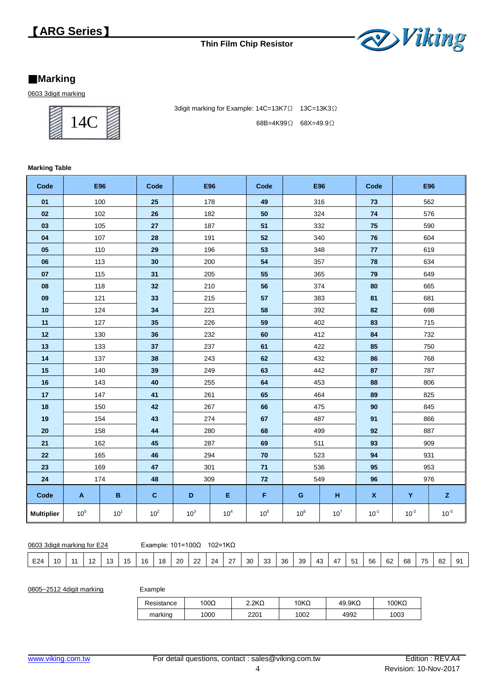

## **Marking**

3digit marking



3digit marking for Example: 14C=13K7Ω 13C=13K3Ω 68B=4K99Ω 68X=49.9Ω

#### **Marking Table**

| Code              | <b>E96</b>                |                 | Code            | <b>E96</b>      |                 | Code   | E96             |        | Code               | <b>E96</b> |              |
|-------------------|---------------------------|-----------------|-----------------|-----------------|-----------------|--------|-----------------|--------|--------------------|------------|--------------|
| 01                |                           | 100             | 25              | 178             |                 | 49     | 316             |        | 73                 | 562        |              |
| 02                |                           | 102             | ${\bf 26}$      | 182             |                 | 50     | 324             |        | 74                 | 576        |              |
| 03                |                           | 105             | 27              | 187             |                 | 51     | 332             |        | 75                 | 590        |              |
| 04                |                           | 107             | 28              | 191             |                 | 52     | 340             |        | 76                 | 604        |              |
| 05                |                           | 110             | 29              | 196             |                 | 53     | 348             |        | 77                 | 619        |              |
| 06                |                           | 113             | 30              | 200             |                 | 54     | 357             |        | 78                 | 634        |              |
| 07                |                           | 115             | 31              | 205             |                 | 55     | 365             |        | 79                 | 649        |              |
| 08                |                           | 118             | 32              | 210             |                 | 56     | 374             |        | 80                 | 665        |              |
| 09                | 121                       |                 | 33              | 215             |                 | 57     | 383             |        | 81                 | 681        |              |
| 10                |                           | 124             | 34              | 221             |                 | 58     | 392             |        | 82                 | 698        |              |
| 11                |                           | 127             | 35              | 226             |                 | 59     | 402             |        | 83                 | 715        |              |
| 12                |                           | 130             | 36              | 232             |                 | 60     | 412             |        | 84                 | 732        |              |
| 13                |                           | 133             | 37              | 237             |                 | 61     | 422             |        | 85                 | 750        |              |
| 14                |                           | 137             | 38              | 243             |                 | 62     | 432             |        | 86                 | 768        |              |
| 15                |                           | 140             | 39              |                 | 249             |        | 442             |        | 87                 | 787        |              |
| 16                |                           | 143             | 40              | 255             |                 | 64     | 453             |        | 88                 | 806        |              |
| 17                |                           | 147             | 41              | 261             |                 | 65     | 464             |        | 89                 | 825        |              |
| 18                |                           | 150             | $42\,$          | 267             |                 | 66     | 475             |        | 90                 | 845        |              |
| 19                |                           | 154             | 43              | 274             |                 | 67     | 487             |        | 91                 | 866        |              |
| ${\bf 20}$        |                           | 158             | 44              |                 | 280             |        | 499             |        | 92                 | 887        |              |
| 21                |                           | 162             | 45              | 287             |                 | 69     | 511             |        | 93                 | 909        |              |
| 22                |                           | 165             | 46              |                 | 294             |        | 523             |        | 94                 | 931        |              |
| 23                |                           | 169             | 47              | 301             |                 | 71     | 536             |        | 95                 | 953        |              |
| 24                |                           | 174             | 48              | 309             |                 | 72     | 549             |        | 96                 | 976        |              |
| Code              | $\boldsymbol{\mathsf{A}}$ | B               | $\mathbf{C}$    | D               | Е               | F      | $\mathbf G$     | н      | $\pmb{\mathsf{X}}$ | Y          | $\mathsf{z}$ |
| <b>Multiplier</b> | 10 <sup>0</sup>           | 10 <sup>1</sup> | 10 <sup>2</sup> | 10 <sup>3</sup> | 10 <sup>4</sup> | $10^5$ | 10 <sup>6</sup> | $10^7$ | $10^{-1}$          | $10^{-2}$  | $10^{-3}$    |

0603 3digit marking for E24 Example: 101=100Ω 102=1KΩ

| E24<br>$\sim$<br>$\sim$<br>39<br>68<br>$\sim$<br>56<br>ാ<br>10<br>20<br>24<br>$\rightarrow$<br>30<br>36<br>43<br>$\overline{\phantom{a}}$<br>- 4<br>$\sim$<br>16<br>4<br>n.<br>ΟZ<br>٥z<br>ن ت<br>۰., | -<br>__<br>$\sim$<br>$\sim$<br>. .<br>$ -$<br>. .<br>. . |
|-------------------------------------------------------------------------------------------------------------------------------------------------------------------------------------------------------|----------------------------------------------------------|
|-------------------------------------------------------------------------------------------------------------------------------------------------------------------------------------------------------|----------------------------------------------------------|

0805~2512 4digit marking

| Example |
|---------|
|---------|

| Resistance | '00Ω | $2.2K\Omega$ | 10KΩ | $49.9K\Omega$ | $100K\Omega$ |
|------------|------|--------------|------|---------------|--------------|
| marking    | 1000 | 2201         | 1002 | 4992          | 1003         |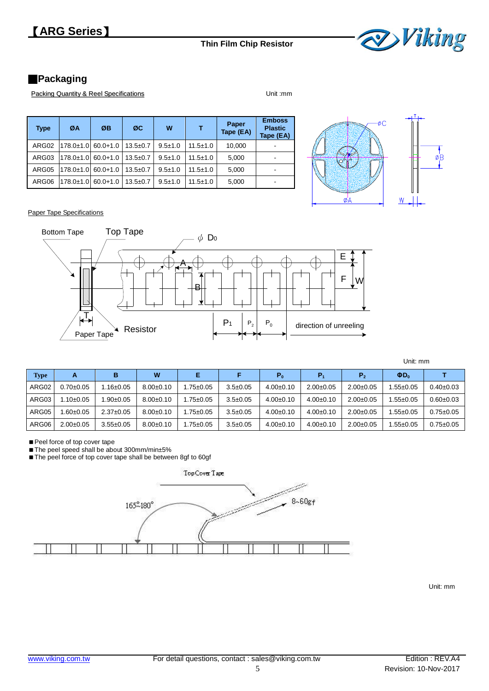

## ■**Packaging**

Packing Quantity & Reel Specifications **Packing Quantity & Reel Specifications** 

| <b>Type</b> | ØA              | ØB           | ØC             | W           |                | Paper<br>Tape (EA) | <b>Emboss</b><br><b>Plastic</b><br>Tape (EA) |
|-------------|-----------------|--------------|----------------|-------------|----------------|--------------------|----------------------------------------------|
| ARG02       | 178.0±1.0       | $60.0 + 1.0$ | $13.5 \pm 0.7$ | $9.5 + 1.0$ | $11.5 \pm 1.0$ | 10.000             |                                              |
| ARG03       | 178.0±1.0       | $60.0 + 1.0$ | $13.5 \pm 0.7$ | $9.5 + 1.0$ | $11.5 \pm 1.0$ | 5,000              |                                              |
| ARG05       | $178.0 \pm 1.0$ | $60.0 + 1.0$ | $13.5 + 0.7$   | $9.5 + 1.0$ | $11.5 \pm 1.0$ | 5,000              | $\overline{\phantom{0}}$                     |
| ARG06       | $178.0 \pm 1.0$ | $60.0 + 1.0$ | $13.5 + 0.7$   | $9.5 + 1.0$ | $11.5 \pm 1.0$ | 5,000              | $\overline{\phantom{0}}$                     |



o¦B<br>↓

Paper Tape Specifications



|  | Unit: mm |
|--|----------|
|--|----------|

| <b>Type</b> | А               | в               | W               | Е              |                | P <sub>0</sub>  | P <sub>1</sub> | P <sub>2</sub>  | $\Phi D_0$   |                 |
|-------------|-----------------|-----------------|-----------------|----------------|----------------|-----------------|----------------|-----------------|--------------|-----------------|
| ARG02       | $0.70 \pm 0.05$ | $.16 \pm 0.05$  | $8.00 \pm 0.10$ | .75±0.05       | $3.5 \pm 0.05$ | $4.00 \pm 0.10$ | $2.00+0.05$    | $2.00+0.05$     | $.55+0.05$   | $0.40 \pm 0.03$ |
| ARG03       | $1.10 \pm 0.05$ | $.90 \pm 0.05$  | $8.00 \pm 0.10$ | .75±0.05       | $3.5 \pm 0.05$ | $4.00 \pm 0.10$ | $4.00+0.10$    | $2.00 \pm 0.05$ | $.55+0.05$   | $0.60 \pm 0.03$ |
| ARG05       | $.60 \pm 0.05$  | $2.37+0.05$     | $8.00 \pm 0.10$ | $.75 \pm 0.05$ | $3.5 \pm 0.05$ | $4.00+0.10$     | $4.00+0.10$    | $2.00+0.05$     | $.55+0.05$   | $0.75 \pm 0.05$ |
| ARG06       | $2.00+0.05$     | $3.55 \pm 0.05$ | $8.00 \pm 0.10$ | $.75 \pm 0.05$ | $3.5 \pm 0.05$ | $4.00 \pm 0.10$ | $4.00+0.10$    | $2.00+0.05$     | $.55\pm0.05$ | $0.75 \pm 0.05$ |

Peel force of top cover tape

■ The peel speed shall be about 300mm/min±5%

■ The peel force of top cover tape shall be between 8gf to 60gf



Unit: mm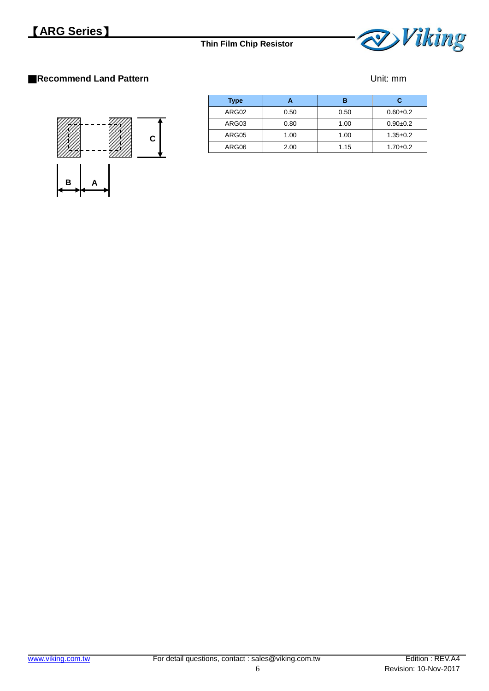

## ■**Recommend Land Pattern District and Pattern Unit: mm**



| <b>Type</b> |      | в    | С              |
|-------------|------|------|----------------|
| ARG02       | 0.50 | 0.50 | $0.60 + 0.2$   |
| ARG03       | 0.80 | 1.00 | $0.90+0.2$     |
| ARG05       | 1.00 | 1.00 | $1.35 \pm 0.2$ |
| ARG06       | 2.00 | 1.15 | $1.70 + 0.2$   |